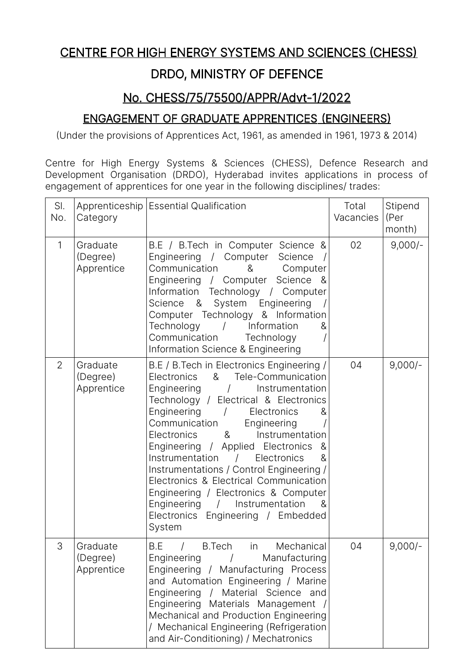# CENTRE FOR HIGH ENERGY SYSTEMS AND SCIENCES (CHESS)

## DRDO, MINISTRY OF DEFENCE

### No. CHESS/75/75500/APPR/Advt-1/2022

### ENGAGEMENT OF GRADUATE APPRENTICES (ENGINEERS)

(Under the provisions of Apprentices Act, 1961, as amended in 1961, 1973 & 2014)

Centre for High Energy Systems & Sciences (CHESS), Defence Research and Development Organisation (DRDO), Hyderabad invites applications in process of engagement of apprentices for one year in the following disciplines/ trades:

| SI.<br>No.     | Category                           | Apprenticeship Essential Qualification                                                                                                                                                                                                                                                                                                                                                                                                                                                                                                                                                               | Total<br>Vacancies | Stipend<br>(Per<br>month) |
|----------------|------------------------------------|------------------------------------------------------------------------------------------------------------------------------------------------------------------------------------------------------------------------------------------------------------------------------------------------------------------------------------------------------------------------------------------------------------------------------------------------------------------------------------------------------------------------------------------------------------------------------------------------------|--------------------|---------------------------|
| 1              | Graduate<br>(Degree)<br>Apprentice | B.E / B.Tech in Computer Science &<br>Engineering / Computer Science<br>Communication<br>&<br>Computer<br>Science<br>Engineering / Computer<br>- &<br>Information Technology / Computer<br>System<br>&<br>Engineering<br>Science<br>Computer Technology & Information<br>Technology<br>Information<br>$\sqrt{ }$<br>&<br>Communication<br>Technology<br>Information Science & Engineering                                                                                                                                                                                                            | 02                 | $9,000/-$                 |
| $\overline{2}$ | Graduate<br>(Degree)<br>Apprentice | B.E / B.Tech in Electronics Engineering /<br>&<br>Tele-Communication<br>Electronics<br>Engineering<br>Instrumentation<br>Technology / Electrical & Electronics<br>Engineering<br>Electronics<br>&<br>Communication<br>Engineering<br>$8\phantom{1}$<br>Instrumentation<br><b>Electronics</b><br>Engineering / Applied Electronics<br>&<br>Instrumentation /<br>Electronics<br>&<br>Instrumentations / Control Engineering /<br>Electronics & Electrical Communication<br>Engineering / Electronics & Computer<br>Engineering<br>Instrumentation<br>&<br>Electronics Engineering / Embedded<br>System | 04                 | $9,000/-$                 |
| 3              | Graduate<br>(Degree)<br>Apprentice | B.E<br><b>B.Tech</b><br>Mechanical<br>in<br>Engineering<br>Manufacturing<br>Engineering / Manufacturing Process<br>and Automation Engineering / Marine<br>Engineering /<br>Material Science and<br>Engineering Materials Management<br>Mechanical and Production Engineering<br>/ Mechanical Engineering (Refrigeration<br>and Air-Conditioning) / Mechatronics                                                                                                                                                                                                                                      | 04                 | $9,000/-$                 |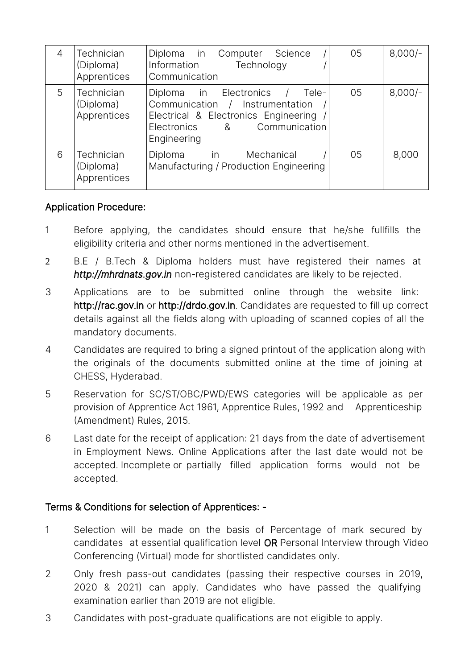| 4 | <b>Technician</b><br>(Diploma)<br>Apprentices | Diploma in Computer<br>Science<br>Information<br>Technology<br>Communication                                                                                                | 05 | $8,000/-$ |
|---|-----------------------------------------------|-----------------------------------------------------------------------------------------------------------------------------------------------------------------------------|----|-----------|
| 5 | Technician<br>(Diploma)<br>Apprentices        | Diploma in Electronics<br>Tele-<br>Communication / Instrumentation<br>Electrical & Electronics Engineering<br>Communication<br>Electronics<br>8 <sub>1</sub><br>Engineering | 05 | $8,000/-$ |
| 6 | Technician<br>(Diploma)<br>Apprentices        | Diploma in<br>Mechanical<br>Manufacturing / Production Engineering                                                                                                          | 05 | 8,000     |

#### Application Procedure:

- 1 Before applying, the candidates should ensure that he/she fullfills the eligibility criteria and other norms mentioned in the advertisement.
- 2 B.E / B.Tech & Diploma holders must have registered their names at *http://mhrdnats.gov.in* non-registered candidates are likely to be rejected.
- 3 Applications are to be submitted online through the website link: http://rac.gov.in or http://drdo.gov.in. Candidates are requested to fill up correct details against all the fields along with uploading of scanned copies of all the mandatory documents.
- 4 Candidates are required to bring a signed printout of the application along with the originals of the documents submitted online at the time of joining at CHESS, Hyderabad.
- 5 Reservation for SC/ST/OBC/PWD/EWS categories will be applicable as per provision of Apprentice Act 1961, Apprentice Rules, 1992 and Apprenticeship (Amendment) Rules, 2015.
- 6 Last date for the receipt of application: 21 days from the date of advertisement in Employment News. Online Applications after the last date would not be accepted. Incomplete or partially filled application forms would not be accepted.

#### Terms & Conditions for selection of Apprentices: -

- 1 Selection will be made on the basis of Percentage of mark secured by candidates at essential qualification level OR Personal Interview through Video Conferencing (Virtual) mode for shortlisted candidates only.
- 2 Only fresh pass-out candidates (passing their respective courses in 2019, 2020 & 2021) can apply. Candidates who have passed the qualifying examination earlier than 2019 are not eligible.
- 3 Candidates with post-graduate qualifications are not eligible to apply.